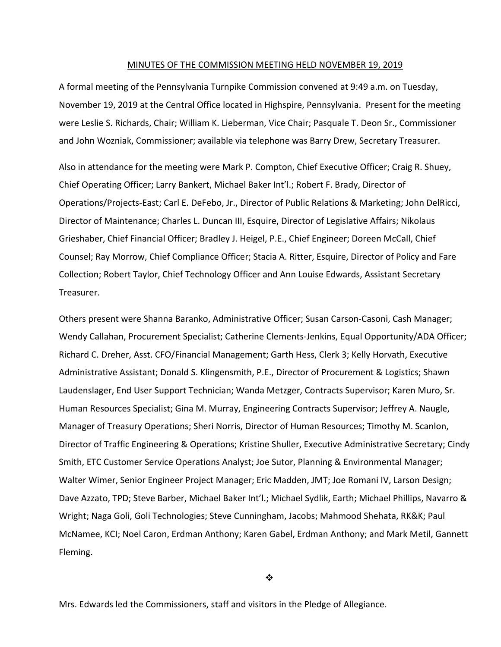#### MINUTES OF THE COMMISSION MEETING HELD NOVEMBER 19, 2019

A formal meeting of the Pennsylvania Turnpike Commission convened at 9:49 a.m. on Tuesday, November 19, 2019 at the Central Office located in Highspire, Pennsylvania. Present for the meeting were Leslie S. Richards, Chair; William K. Lieberman, Vice Chair; Pasquale T. Deon Sr., Commissioner and John Wozniak, Commissioner; available via telephone was Barry Drew, Secretary Treasurer.

Also in attendance for the meeting were Mark P. Compton, Chief Executive Officer; Craig R. Shuey, Chief Operating Officer; Larry Bankert, Michael Baker Int'l.; Robert F. Brady, Director of Operations/Projects‐East; Carl E. DeFebo, Jr., Director of Public Relations & Marketing; John DelRicci, Director of Maintenance; Charles L. Duncan III, Esquire, Director of Legislative Affairs; Nikolaus Grieshaber, Chief Financial Officer; Bradley J. Heigel, P.E., Chief Engineer; Doreen McCall, Chief Counsel; Ray Morrow, Chief Compliance Officer; Stacia A. Ritter, Esquire, Director of Policy and Fare Collection; Robert Taylor, Chief Technology Officer and Ann Louise Edwards, Assistant Secretary Treasurer.

Others present were Shanna Baranko, Administrative Officer; Susan Carson‐Casoni, Cash Manager; Wendy Callahan, Procurement Specialist; Catherine Clements‐Jenkins, Equal Opportunity/ADA Officer; Richard C. Dreher, Asst. CFO/Financial Management; Garth Hess, Clerk 3; Kelly Horvath, Executive Administrative Assistant; Donald S. Klingensmith, P.E., Director of Procurement & Logistics; Shawn Laudenslager, End User Support Technician; Wanda Metzger, Contracts Supervisor; Karen Muro, Sr. Human Resources Specialist; Gina M. Murray, Engineering Contracts Supervisor; Jeffrey A. Naugle, Manager of Treasury Operations; Sheri Norris, Director of Human Resources; Timothy M. Scanlon, Director of Traffic Engineering & Operations; Kristine Shuller, Executive Administrative Secretary; Cindy Smith, ETC Customer Service Operations Analyst; Joe Sutor, Planning & Environmental Manager; Walter Wimer, Senior Engineer Project Manager; Eric Madden, JMT; Joe Romani IV, Larson Design; Dave Azzato, TPD; Steve Barber, Michael Baker Int'l.; Michael Sydlik, Earth; Michael Phillips, Navarro & Wright; Naga Goli, Goli Technologies; Steve Cunningham, Jacobs; Mahmood Shehata, RK&K; Paul McNamee, KCI; Noel Caron, Erdman Anthony; Karen Gabel, Erdman Anthony; and Mark Metil, Gannett Fleming.

 $\cdot$ 

Mrs. Edwards led the Commissioners, staff and visitors in the Pledge of Allegiance.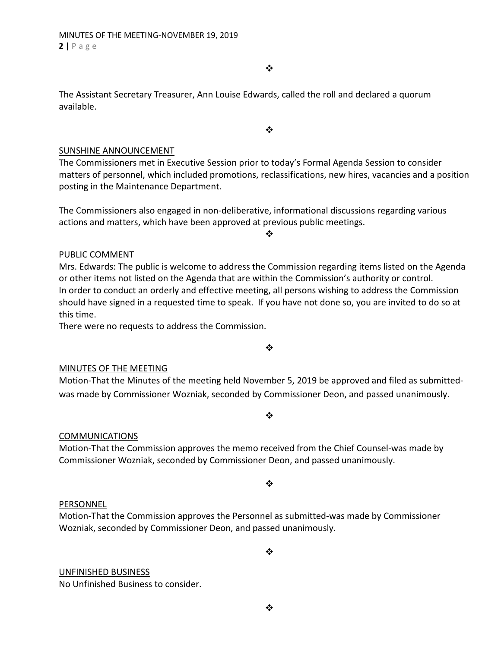$\bullet^{\bullet}_{\bullet} \bullet$ 

 $\cdot$ 

The Assistant Secretary Treasurer, Ann Louise Edwards, called the roll and declared a quorum available.

#### SUNSHINE ANNOUNCEMENT

The Commissioners met in Executive Session prior to today's Formal Agenda Session to consider matters of personnel, which included promotions, reclassifications, new hires, vacancies and a position posting in the Maintenance Department.

❖

The Commissioners also engaged in non‐deliberative, informational discussions regarding various actions and matters, which have been approved at previous public meetings.

#### PUBLIC COMMENT

Mrs. Edwards: The public is welcome to address the Commission regarding items listed on the Agenda or other items not listed on the Agenda that are within the Commission's authority or control. In order to conduct an orderly and effective meeting, all persons wishing to address the Commission should have signed in a requested time to speak. If you have not done so, you are invited to do so at this time.

There were no requests to address the Commission.

 $\cdot$ 

#### MINUTES OF THE MEETING

Motion‐That the Minutes of the meeting held November 5, 2019 be approved and filed as submitted‐ was made by Commissioner Wozniak, seconded by Commissioner Deon, and passed unanimously.

 $\cdot$ 

#### COMMUNICATIONS

Motion‐That the Commission approves the memo received from the Chief Counsel‐was made by Commissioner Wozniak, seconded by Commissioner Deon, and passed unanimously.

❖

#### PERSONNEL

Motion‐That the Commission approves the Personnel as submitted‐was made by Commissioner Wozniak, seconded by Commissioner Deon, and passed unanimously.

 $\cdot$ 

# UNFINISHED BUSINESS

No Unfinished Business to consider.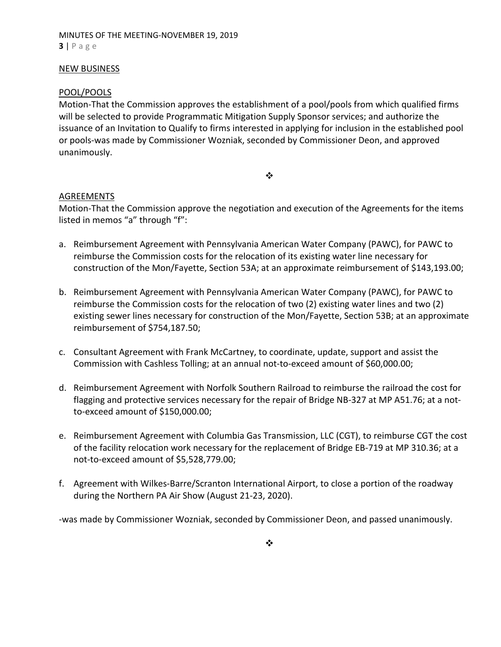# MINUTES OF THE MEETING‐NOVEMBER 19, 2019 **3** | Page

#### NEW BUSINESS

#### POOL/POOLS

Motion‐That the Commission approves the establishment of a pool/pools from which qualified firms will be selected to provide Programmatic Mitigation Supply Sponsor services; and authorize the issuance of an Invitation to Qualify to firms interested in applying for inclusion in the established pool or pools‐was made by Commissioner Wozniak, seconded by Commissioner Deon, and approved unanimously.

#### ❖

#### AGREEMENTS

Motion‐That the Commission approve the negotiation and execution of the Agreements for the items listed in memos "a" through "f":

- a. Reimbursement Agreement with Pennsylvania American Water Company (PAWC), for PAWC to reimburse the Commission costs for the relocation of its existing water line necessary for construction of the Mon/Fayette, Section 53A; at an approximate reimbursement of \$143,193.00;
- b. Reimbursement Agreement with Pennsylvania American Water Company (PAWC), for PAWC to reimburse the Commission costs for the relocation of two (2) existing water lines and two (2) existing sewer lines necessary for construction of the Mon/Fayette, Section 53B; at an approximate reimbursement of \$754,187.50;
- c. Consultant Agreement with Frank McCartney, to coordinate, update, support and assist the Commission with Cashless Tolling; at an annual not‐to‐exceed amount of \$60,000.00;
- d. Reimbursement Agreement with Norfolk Southern Railroad to reimburse the railroad the cost for flagging and protective services necessary for the repair of Bridge NB‐327 at MP A51.76; at a not‐ to‐exceed amount of \$150,000.00;
- e. Reimbursement Agreement with Columbia Gas Transmission, LLC (CGT), to reimburse CGT the cost of the facility relocation work necessary for the replacement of Bridge EB‐719 at MP 310.36; at a not‐to‐exceed amount of \$5,528,779.00;
- f. Agreement with Wilkes‐Barre/Scranton International Airport, to close a portion of the roadway during the Northern PA Air Show (August 21‐23, 2020).

‐was made by Commissioner Wozniak, seconded by Commissioner Deon, and passed unanimously.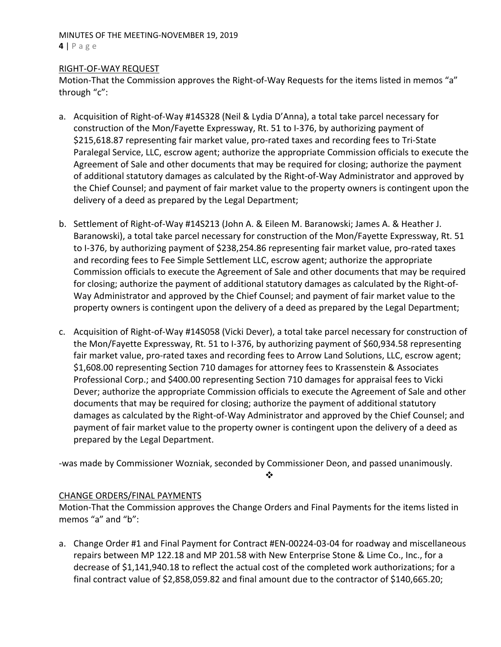#### MINUTES OF THE MEETING‐NOVEMBER 19, 2019 **4** | Page

## RIGHT‐OF‐WAY REQUEST

Motion-That the Commission approves the Right-of-Way Requests for the items listed in memos "a" through "c":

- a. Acquisition of Right‐of‐Way #14S328 (Neil & Lydia D'Anna), a total take parcel necessary for construction of the Mon/Fayette Expressway, Rt. 51 to I‐376, by authorizing payment of \$215,618.87 representing fair market value, pro‐rated taxes and recording fees to Tri‐State Paralegal Service, LLC, escrow agent; authorize the appropriate Commission officials to execute the Agreement of Sale and other documents that may be required for closing; authorize the payment of additional statutory damages as calculated by the Right‐of‐Way Administrator and approved by the Chief Counsel; and payment of fair market value to the property owners is contingent upon the delivery of a deed as prepared by the Legal Department;
- b. Settlement of Right‐of‐Way #14S213 (John A. & Eileen M. Baranowski; James A. & Heather J. Baranowski), a total take parcel necessary for construction of the Mon/Fayette Expressway, Rt. 51 to I‐376, by authorizing payment of \$238,254.86 representing fair market value, pro‐rated taxes and recording fees to Fee Simple Settlement LLC, escrow agent; authorize the appropriate Commission officials to execute the Agreement of Sale and other documents that may be required for closing; authorize the payment of additional statutory damages as calculated by the Right‐of‐ Way Administrator and approved by the Chief Counsel; and payment of fair market value to the property owners is contingent upon the delivery of a deed as prepared by the Legal Department;
- c. Acquisition of Right‐of‐Way #14S058 (Vicki Dever), a total take parcel necessary for construction of the Mon/Fayette Expressway, Rt. 51 to I‐376, by authorizing payment of \$60,934.58 representing fair market value, pro-rated taxes and recording fees to Arrow Land Solutions, LLC, escrow agent; \$1,608.00 representing Section 710 damages for attorney fees to Krassenstein & Associates Professional Corp.; and \$400.00 representing Section 710 damages for appraisal fees to Vicki Dever; authorize the appropriate Commission officials to execute the Agreement of Sale and other documents that may be required for closing; authorize the payment of additional statutory damages as calculated by the Right‐of‐Way Administrator and approved by the Chief Counsel; and payment of fair market value to the property owner is contingent upon the delivery of a deed as prepared by the Legal Department.

‐was made by Commissioner Wozniak, seconded by Commissioner Deon, and passed unanimously.

❖

## CHANGE ORDERS/FINAL PAYMENTS

Motion‐That the Commission approves the Change Orders and Final Payments for the items listed in memos "a" and "b":

a. Change Order #1 and Final Payment for Contract #EN‐00224‐03‐04 for roadway and miscellaneous repairs between MP 122.18 and MP 201.58 with New Enterprise Stone & Lime Co., Inc., for a decrease of \$1,141,940.18 to reflect the actual cost of the completed work authorizations; for a final contract value of \$2,858,059.82 and final amount due to the contractor of \$140,665.20;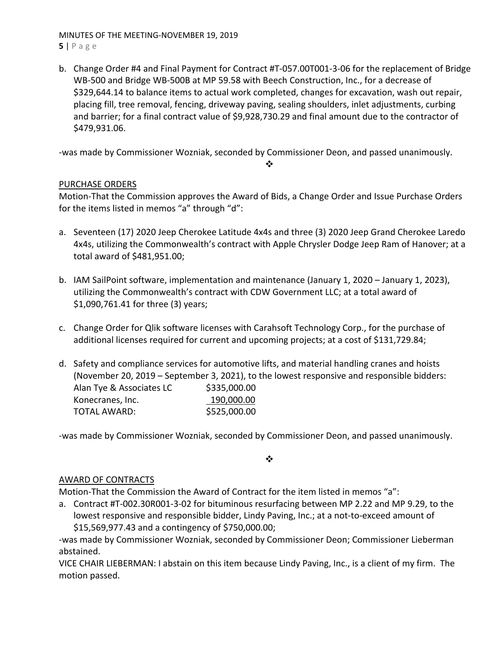MINUTES OF THE MEETING‐NOVEMBER 19, 2019 **5** | Page

b. Change Order #4 and Final Payment for Contract #T‐057.00T001‐3‐06 for the replacement of Bridge WB‐500 and Bridge WB‐500B at MP 59.58 with Beech Construction, Inc., for a decrease of \$329,644.14 to balance items to actual work completed, changes for excavation, wash out repair, placing fill, tree removal, fencing, driveway paving, sealing shoulders, inlet adjustments, curbing and barrier; for a final contract value of \$9,928,730.29 and final amount due to the contractor of \$479,931.06.

‐was made by Commissioner Wozniak, seconded by Commissioner Deon, and passed unanimously.

❖

# PURCHASE ORDERS

Motion‐That the Commission approves the Award of Bids, a Change Order and Issue Purchase Orders for the items listed in memos "a" through "d":

- a. Seventeen (17) 2020 Jeep Cherokee Latitude 4x4s and three (3) 2020 Jeep Grand Cherokee Laredo 4x4s, utilizing the Commonwealth's contract with Apple Chrysler Dodge Jeep Ram of Hanover; at a total award of \$481,951.00;
- b. IAM SailPoint software, implementation and maintenance (January 1, 2020 January 1, 2023), utilizing the Commonwealth's contract with CDW Government LLC; at a total award of \$1,090,761.41 for three (3) years;
- c. Change Order for Qlik software licenses with Carahsoft Technology Corp., for the purchase of additional licenses required for current and upcoming projects; at a cost of \$131,729.84;
- d. Safety and compliance services for automotive lifts, and material handling cranes and hoists (November 20, 2019 – September 3, 2021), to the lowest responsive and responsible bidders: Alan Tye & Associates LC \$335,000.00 Konecranes, Inc. 190,000.00 TOTAL AWARD: \$525,000.00

‐was made by Commissioner Wozniak, seconded by Commissioner Deon, and passed unanimously.

 $\bullet^{\bullet}_{\bullet} \bullet$ 

# AWARD OF CONTRACTS

Motion-That the Commission the Award of Contract for the item listed in memos "a":

a. Contract #T‐002.30R001‐3‐02 for bituminous resurfacing between MP 2.22 and MP 9.29, to the lowest responsive and responsible bidder, Lindy Paving, Inc.; at a not‐to‐exceed amount of \$15,569,977.43 and a contingency of \$750,000.00;

‐was made by Commissioner Wozniak, seconded by Commissioner Deon; Commissioner Lieberman abstained.

VICE CHAIR LIEBERMAN: I abstain on this item because Lindy Paving, Inc., is a client of my firm. The motion passed.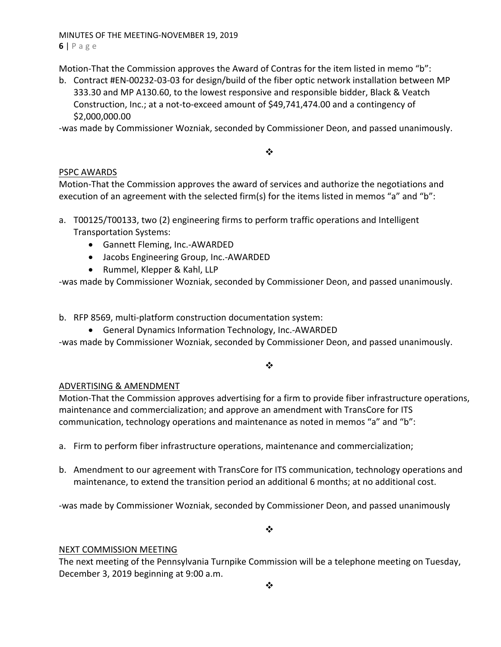MINUTES OF THE MEETING‐NOVEMBER 19, 2019 **6** | Page

Motion-That the Commission approves the Award of Contras for the item listed in memo "b":

b. Contract #EN‐00232‐03‐03 for design/build of the fiber optic network installation between MP 333.30 and MP A130.60, to the lowest responsive and responsible bidder, Black & Veatch Construction, Inc.; at a not‐to‐exceed amount of \$49,741,474.00 and a contingency of \$2,000,000.00

‐was made by Commissioner Wozniak, seconded by Commissioner Deon, and passed unanimously.

#### $\cdot$

# PSPC AWARDS

Motion‐That the Commission approves the award of services and authorize the negotiations and execution of an agreement with the selected firm(s) for the items listed in memos "a" and "b":

- a. T00125/T00133, two (2) engineering firms to perform traffic operations and Intelligent Transportation Systems:
	- Gannett Fleming, Inc.-AWARDED
	- Jacobs Engineering Group, Inc.-AWARDED
	- Rummel, Klepper & Kahl, LLP

‐was made by Commissioner Wozniak, seconded by Commissioner Deon, and passed unanimously.

b. RFP 8569, multi‐platform construction documentation system:

● General Dynamics Information Technology, Inc.-AWARDED

‐was made by Commissioner Wozniak, seconded by Commissioner Deon, and passed unanimously.

 $\frac{1}{2}$ 

# ADVERTISING & AMENDMENT

Motion‐That the Commission approves advertising for a firm to provide fiber infrastructure operations, maintenance and commercialization; and approve an amendment with TransCore for ITS communication, technology operations and maintenance as noted in memos "a" and "b":

- a. Firm to perform fiber infrastructure operations, maintenance and commercialization;
- b. Amendment to our agreement with TransCore for ITS communication, technology operations and maintenance, to extend the transition period an additional 6 months; at no additional cost.

‐was made by Commissioner Wozniak, seconded by Commissioner Deon, and passed unanimously

❖

## NEXT COMMISSION MEETING

The next meeting of the Pennsylvania Turnpike Commission will be a telephone meeting on Tuesday, December 3, 2019 beginning at 9:00 a.m.